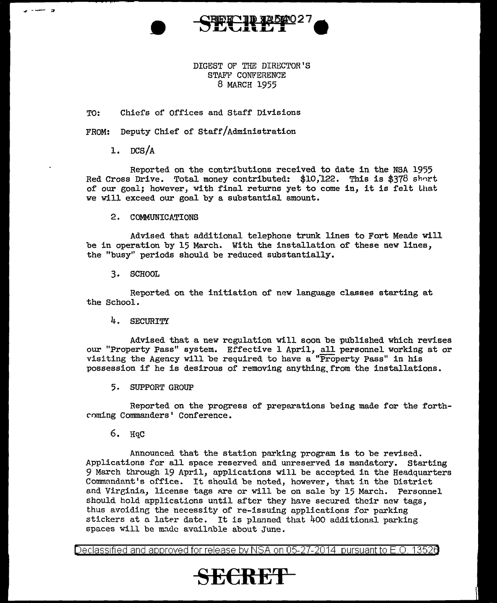

DIGEST OF THE DIRECTOR'S STAFF CONFERENCE 8 MARCH 1955

TO: Chiefs of Offices and Staff Divisions

FROM: Deputy Chief of Staff/Administration

1. DCS/A

**a**<br>**a** 

Reported on the contributions received to date in the NSA 1955 Red Cross Drive. Total money contributed: \$10,122. This is \$378 short of our goal; however, with final returns yet to come in, it is felt that we will exceed our goal by a substantial amount.

2. COMMUNICATIONS

Advised that additional telephone trunk lines to Fort Meade will be in operation by 15 March. With the installation of these new lines, the "busy" periods should be reduced substantially.

3. SCHOOL

Reported on the initiation of new language classes starting at the School.

4. SECURITY

Advised that a new regulation will soon be published which revises our "Property Pass" system. Effective 1 April, all personnel working at or visiting the Agency will be required to have a "Property Pass" in his possession if he is desirous of removing anything.from the installations.

5. SUPPORT GROUP

Reported on the progress of preparations being made for the forthcoming Commanders' Conference.

6. HqC

Announced that the station parking program is to be revised. Applications for all space reserved and unreserved is mandatory. Starting 9 March through 19 April, applications will be accepted in the Headquarters Commandant's office. It should be noted, however, that in the District and Virginia, license tags are or will be on sale by 15 March. Personnel should hold applications until after they have secured their new tags, thus avoiding the necessity of re-issuing applications for parking stickers at a later date. It is planned that  $400$  additional parking spaces will be made available about June.

Declassified and approved for release by NSA on 05-27-2014 pursuantto E.O. 1352a

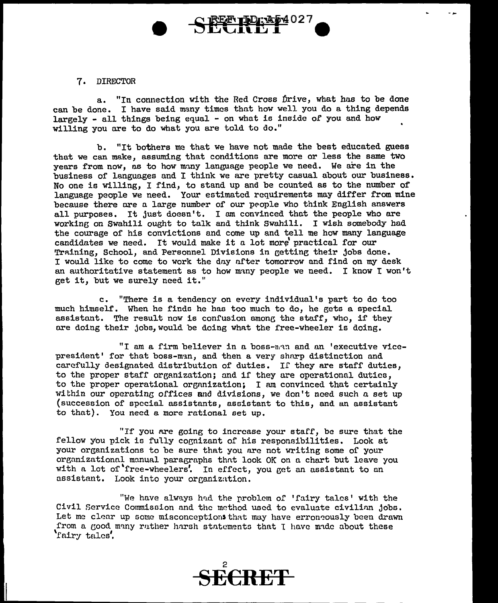## 7. DIRECTOR

a. "In connection with the Red Cross Drive, what has to be done can be done. I have said many times thnt how well you do a thing depends largely - all things being equal - on what is inside of you and how willing you are to do what you are told to do."

**REE TD: AD4027** 

b. "It bothers me that we have not made the best educated guess that we can make, assuming that conditions are more or less the same two years from now, as to how many language people we need. We are in the business of languages and I think we are pretty casual about our business. No one is willing, I find, to stand up and be counted as to the number of language people we need. Your estimated requirements may differ from mine because there are a large number of our people who think English answers all purposes. It just doesn't. I am convinced that the people who are working on Swahili ought to talk and think Swahili. I wish somebody had the courage of his convictions and come up and tell me how many language candidates we need. It would make it a lot more practical for our Training, School, and Personnel Divisions in getting their jobs done. I would like to come to work the dny nfter tomorrow and find on my desk an authoritative statement as to how m~ny people we need. I know I won't get it, but we surely need it."

c. "There is a tendency on every individual's part to do too much himself. When he finds he has too much to do, he gets a special assistant. The result now is confusion amone the staff, who, if they are doing their jobs, would be doing what the free-wheeler is doing.

"I am a firm believer in a boss- $n_i \cdot n_i$  and an 'executive vicepresident' for that boss-man, and then a very sharp distinction and carefully designated distribution of duties. If they are staff duties, to the proper staff organization; and if they are operational duties, to the proper operational organization; I am convinced that certainly within our operating offices and divisions, we don't need such a set up (succession of special assistants, assistant to this, and an assistant to that). You need a more rational set up.

"If you are going to increase your staff, be sure that the fellow you pick is fully cognizant of his responsibilities. Look at your organizations to be sure that you are not writing some of your organizational manual paragraphs that look OK on a chart but leave you with a lot of 'free-wheelers'. In effect, you get an assistant to an assistant. Look into your organization.

"We have always had the problem of 'fairy tales' with the Civil Service Commission and the method used to evaluate civilinn jobs. Let me clear up some misconceptions that may have erroneously been drawn from a good many ruther harsh statements that I have made about these 'rniry talcs'.